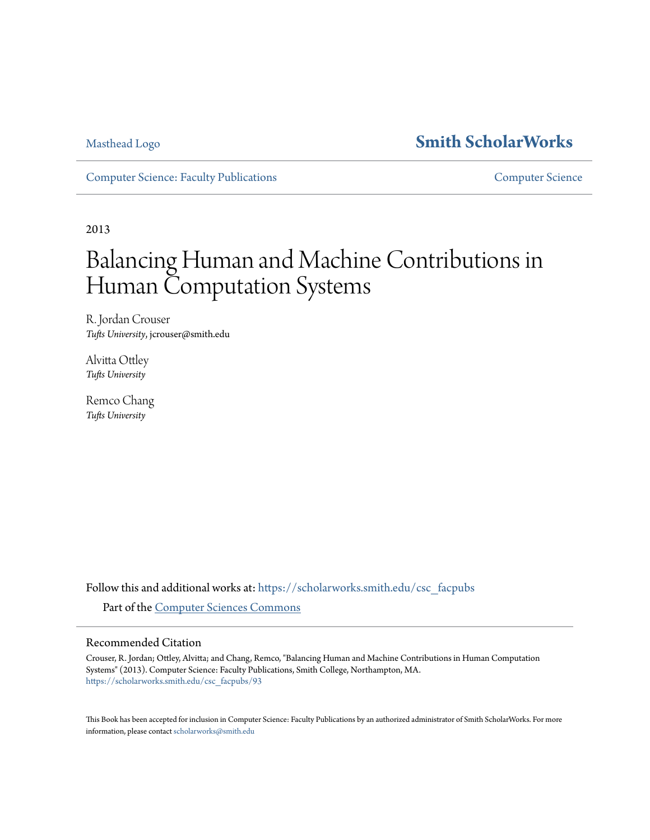# [Masthead Logo](http://www.smith.edu/?utm_source=scholarworks.smith.edu%2Fcsc_facpubs%2F93&utm_medium=PDF&utm_campaign=PDFCoverPages) **[Smith ScholarWorks](https://scholarworks.smith.edu?utm_source=scholarworks.smith.edu%2Fcsc_facpubs%2F93&utm_medium=PDF&utm_campaign=PDFCoverPages)**

[Computer Science: Faculty Publications](https://scholarworks.smith.edu/csc_facpubs?utm_source=scholarworks.smith.edu%2Fcsc_facpubs%2F93&utm_medium=PDF&utm_campaign=PDFCoverPages) [Computer Science](https://scholarworks.smith.edu/csc?utm_source=scholarworks.smith.edu%2Fcsc_facpubs%2F93&utm_medium=PDF&utm_campaign=PDFCoverPages)

2013

# Balancing Human and Machine Contributions in Human Computation Systems

R. Jordan Crouser *Tufts University*, jcrouser@smith.edu

Alvitta Ottley *Tufts University*

Remco Chang *Tufts University*

Follow this and additional works at: [https://scholarworks.smith.edu/csc\\_facpubs](https://scholarworks.smith.edu/csc_facpubs?utm_source=scholarworks.smith.edu%2Fcsc_facpubs%2F93&utm_medium=PDF&utm_campaign=PDFCoverPages) Part of the [Computer Sciences Commons](http://network.bepress.com/hgg/discipline/142?utm_source=scholarworks.smith.edu%2Fcsc_facpubs%2F93&utm_medium=PDF&utm_campaign=PDFCoverPages)

# Recommended Citation

Crouser, R. Jordan; Ottley, Alvitta; and Chang, Remco, "Balancing Human and Machine Contributions in Human Computation Systems" (2013). Computer Science: Faculty Publications, Smith College, Northampton, MA. [https://scholarworks.smith.edu/csc\\_facpubs/93](https://scholarworks.smith.edu/csc_facpubs/93?utm_source=scholarworks.smith.edu%2Fcsc_facpubs%2F93&utm_medium=PDF&utm_campaign=PDFCoverPages)

This Book has been accepted for inclusion in Computer Science: Faculty Publications by an authorized administrator of Smith ScholarWorks. For more information, please contact [scholarworks@smith.edu](mailto:scholarworks@smith.edu)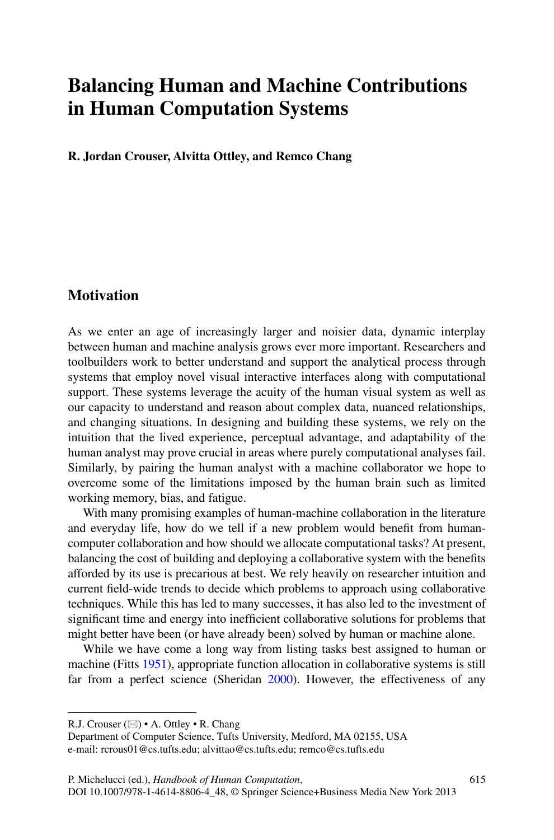# **Balancing Human and Machine Contributions in Human Computation Systems**

**R. Jordan Crouser, Alvitta Ottley, and Remco Chang**

# **Motivation**

As we enter an age of increasingly larger and noisier data, dynamic interplay between human and machine analysis grows ever more important. Researchers and toolbuilders work to better understand and support the analytical process through systems that employ novel visual interactive interfaces along with computational support. These systems leverage the acuity of the human visual system as well as our capacity to understand and reason about complex data, nuanced relationships, and changing situations. In designing and building these systems, we rely on the intuition that the lived experience, perceptual advantage, and adaptability of the human analyst may prove crucial in areas where purely computational analyses fail. Similarly, by pairing the human analyst with a machine collaborator we hope to overcome some of the limitations imposed by the human brain such as limited working memory, bias, and fatigue.

With many promising examples of human-machine collaboration in the literature and everyday life, how do we tell if a new problem would benefit from humancomputer collaboration and how should we allocate computational tasks? At present, balancing the cost of building and deploying a collaborative system with the benefits afforded by its use is precarious at best. We rely heavily on researcher intuition and current field-wide trends to decide which problems to approach using collaborative techniques. While this has led to many successes, it has also led to the investment of significant time and energy into inefficient collaborative solutions for problems that might better have been (or have already been) solved by human or machine alone.

While we have come a long way from listing tasks best assigned to human or machine (Fitts [1951\)](#page-9-0), appropriate function allocation in collaborative systems is still far from a perfect science (Sheridan [2000](#page-9-1)). However, the effectiveness of any

R.J. Crouser  $(\boxtimes) \cdot A$ . Ottley  $\cdot R$ . Chang

Department of Computer Science, Tufts University, Medford, MA 02155, USA e-mail: rcrous01@cs.tufts.edu; alvittao@cs.tufts.edu; remco@cs.tufts.edu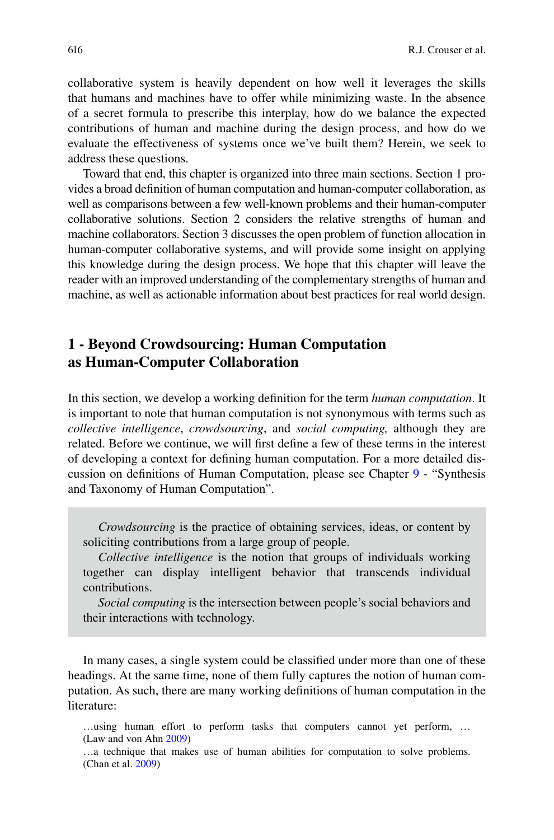collaborative system is heavily dependent on how well it leverages the skills that humans and machines have to offer while minimizing waste. In the absence of a secret formula to prescribe this interplay, how do we balance the expected contributions of human and machine during the design process, and how do we evaluate the effectiveness of systems once we've built them? Herein, we seek to address these questions.

Toward that end, this chapter is organized into three main sections. Section 1 provides a broad definition of human computation and human-computer collaboration, as well as comparisons between a few well-known problems and their human-computer collaborative solutions. Section 2 considers the relative strengths of human and machine collaborators. Section 3 discusses the open problem of function allocation in human-computer collaborative systems, and will provide some insight on applying this knowledge during the design process. We hope that this chapter will leave the reader with an improved understanding of the complementary strengths of human and machine, as well as actionable information about best practices for real world design.

# **1 - Beyond Crowdsourcing: Human Computation as Human-Computer Collaboration**

In this section, we develop a working definition for the term *human computation*. It is important to note that human computation is not synonymous with terms such as *collective intelligence*, *crowdsourcing*, and *social computing,* although they are related. Before we continue, we will first define a few of these terms in the interest of developing a context for defining human computation. For a more detailed discussion on definitions of Human Computation, please see Chapter [9](http://dx.doi.org/10.1007/978-1-4614-8806-4_9) - "Synthesis and Taxonomy of Human Computation".

*Crowdsourcing* is the practice of obtaining services, ideas, or content by soliciting contributions from a large group of people.

*Collective intelligence* is the notion that groups of individuals working together can display intelligent behavior that transcends individual contributions.

*Social computing* is the intersection between people's social behaviors and their interactions with technology.

In many cases, a single system could be classified under more than one of these headings. At the same time, none of them fully captures the notion of human computation. As such, there are many working definitions of human computation in the literature:

…using human effort to perform tasks that computers cannot yet perform, … (Law and von Ahn [2009\)](#page-9-2)

<sup>…</sup>a technique that makes use of human abilities for computation to solve problems. (Chan et al. [2009](#page-9-3))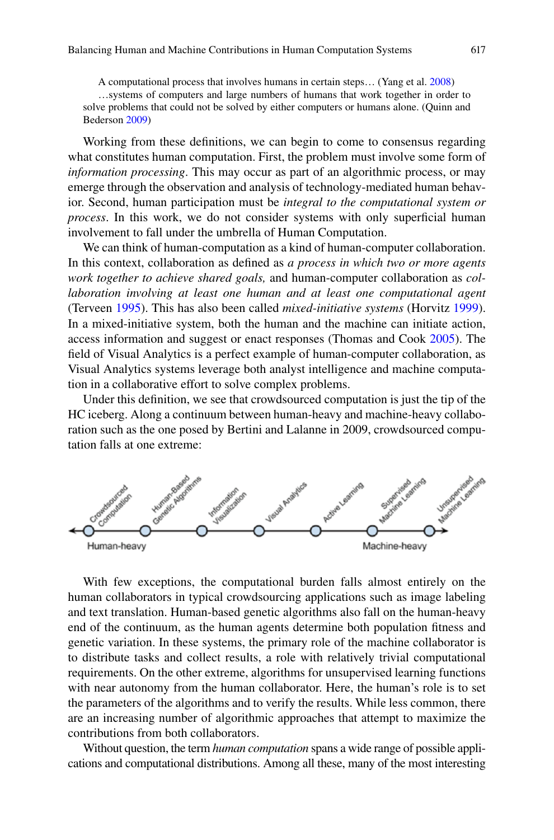A computational process that involves humans in certain steps… (Yang et al. [2008](#page-9-4))

…systems of computers and large numbers of humans that work together in order to solve problems that could not be solved by either computers or humans alone. (Quinn and Bederson [2009](#page-9-5))

Working from these definitions, we can begin to come to consensus regarding what constitutes human computation. First, the problem must involve some form of *information processing*. This may occur as part of an algorithmic process, or may emerge through the observation and analysis of technology-mediated human behavior. Second, human participation must be *integral to the computational system or process*. In this work, we do not consider systems with only superficial human involvement to fall under the umbrella of Human Computation.

We can think of human-computation as a kind of human-computer collaboration. In this context, collaboration as defined as *a process in which two or more agents work together to achieve shared goals,* and human-computer collaboration as *collaboration involving at least one human and at least one computational agent* (Terveen [1995\)](#page-9-6). This has also been called *mixed-initiative systems* (Horvitz [1999\)](#page-9-7). In a mixed-initiative system, both the human and the machine can initiate action, access information and suggest or enact responses (Thomas and Cook [2005](#page-9-8)). The field of Visual Analytics is a perfect example of human-computer collaboration, as Visual Analytics systems leverage both analyst intelligence and machine computation in a collaborative effort to solve complex problems.

Under this definition, we see that crowdsourced computation is just the tip of the HC iceberg. Along a continuum between human-heavy and machine-heavy collaboration such as the one posed by Bertini and Lalanne in 2009, crowdsourced computation falls at one extreme:



With few exceptions, the computational burden falls almost entirely on the human collaborators in typical crowdsourcing applications such as image labeling and text translation. Human-based genetic algorithms also fall on the human-heavy end of the continuum, as the human agents determine both population fitness and genetic variation. In these systems, the primary role of the machine collaborator is to distribute tasks and collect results, a role with relatively trivial computational requirements. On the other extreme, algorithms for unsupervised learning functions with near autonomy from the human collaborator. Here, the human's role is to set the parameters of the algorithms and to verify the results. While less common, there are an increasing number of algorithmic approaches that attempt to maximize the contributions from both collaborators.

Without question, the term *human computation* spans a wide range of possible applications and computational distributions. Among all these, many of the most interesting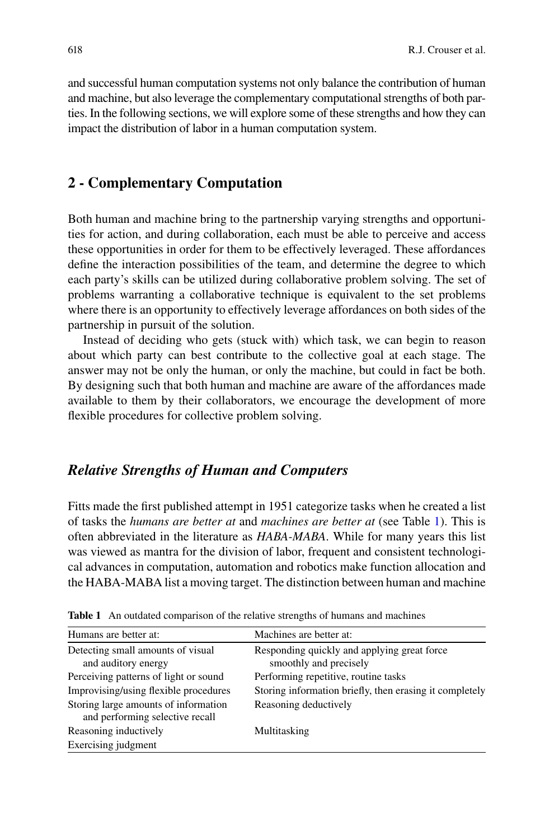and successful human computation systems not only balance the contribution of human and machine, but also leverage the complementary computational strengths of both parties. In the following sections, we will explore some of these strengths and how they can impact the distribution of labor in a human computation system.

## **2 - Complementary Computation**

Both human and machine bring to the partnership varying strengths and opportunities for action, and during collaboration, each must be able to perceive and access these opportunities in order for them to be effectively leveraged. These affordances define the interaction possibilities of the team, and determine the degree to which each party's skills can be utilized during collaborative problem solving. The set of problems warranting a collaborative technique is equivalent to the set problems where there is an opportunity to effectively leverage affordances on both sides of the partnership in pursuit of the solution.

Instead of deciding who gets (stuck with) which task, we can begin to reason about which party can best contribute to the collective goal at each stage. The answer may not be only the human, or only the machine, but could in fact be both. By designing such that both human and machine are aware of the affordances made available to them by their collaborators, we encourage the development of more flexible procedures for collective problem solving.

#### *Relative Strengths of Human and Computers*

Fitts made the first published attempt in 1951 categorize tasks when he created a list of tasks the *humans are better at* and *machines are better at* (see Table [1](#page-4-0)). This is often abbreviated in the literature as *HABA-MABA*. While for many years this list was viewed as mantra for the division of labor, frequent and consistent technological advances in computation, automation and robotics make function allocation and the HABA-MABA list a moving target. The distinction between human and machine

| Humans are better at:                                                   | Machines are better at:                                               |
|-------------------------------------------------------------------------|-----------------------------------------------------------------------|
| Detecting small amounts of visual<br>and auditory energy                | Responding quickly and applying great force<br>smoothly and precisely |
| Perceiving patterns of light or sound                                   | Performing repetitive, routine tasks                                  |
| Improvising/using flexible procedures                                   | Storing information briefly, then erasing it completely               |
| Storing large amounts of information<br>and performing selective recall | Reasoning deductively                                                 |
| Reasoning inductively                                                   | Multitasking                                                          |
| Exercising judgment                                                     |                                                                       |

<span id="page-4-0"></span>**Table 1** An outdated comparison of the relative strengths of humans and machines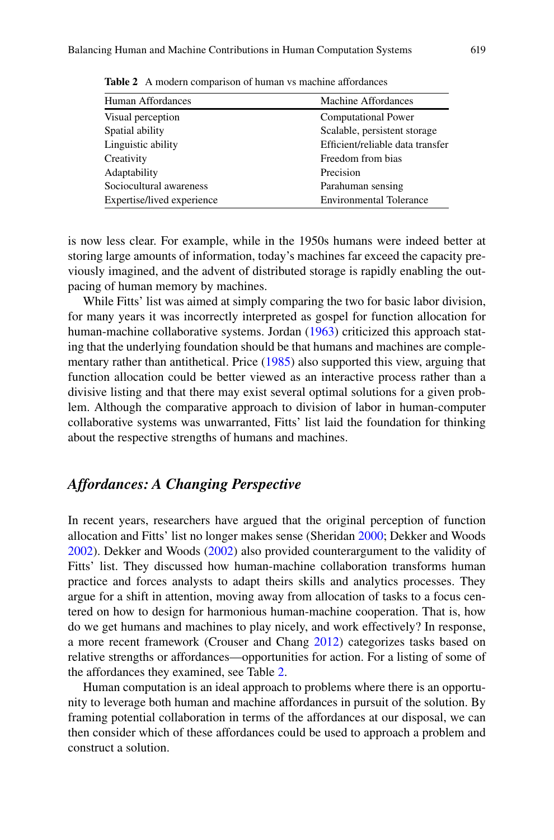| Human Affordances          | Machine Affordances              |
|----------------------------|----------------------------------|
| Visual perception          | <b>Computational Power</b>       |
| Spatial ability            | Scalable, persistent storage     |
| Linguistic ability         | Efficient/reliable data transfer |
| Creativity                 | Freedom from bias                |
| Adaptability               | Precision                        |
| Sociocultural awareness    | Parahuman sensing                |
| Expertise/lived experience | <b>Environmental Tolerance</b>   |

<span id="page-5-0"></span>**Table 2** A modern comparison of human vs machine affordances

is now less clear. For example, while in the 1950s humans were indeed better at storing large amounts of information, today's machines far exceed the capacity previously imagined, and the advent of distributed storage is rapidly enabling the outpacing of human memory by machines.

While Fitts' list was aimed at simply comparing the two for basic labor division, for many years it was incorrectly interpreted as gospel for function allocation for human-machine collaborative systems. Jordan [\(1963](#page-9-9)) criticized this approach stating that the underlying foundation should be that humans and machines are complementary rather than antithetical. Price ([1985\)](#page-9-10) also supported this view, arguing that function allocation could be better viewed as an interactive process rather than a divisive listing and that there may exist several optimal solutions for a given problem. Although the comparative approach to division of labor in human-computer collaborative systems was unwarranted, Fitts' list laid the foundation for thinking about the respective strengths of humans and machines.

# *Affordances: A Changing Perspective*

In recent years, researchers have argued that the original perception of function allocation and Fitts' list no longer makes sense (Sheridan [2000](#page-9-1); Dekker and Woods [2002\)](#page-9-11). Dekker and Woods [\(2002](#page-9-11)) also provided counterargument to the validity of Fitts' list. They discussed how human-machine collaboration transforms human practice and forces analysts to adapt theirs skills and analytics processes. They argue for a shift in attention, moving away from allocation of tasks to a focus centered on how to design for harmonious human-machine cooperation. That is, how do we get humans and machines to play nicely, and work effectively? In response, a more recent framework (Crouser and Chang [2012](#page-9-12)) categorizes tasks based on relative strengths or affordances—opportunities for action. For a listing of some of the affordances they examined, see Table [2.](#page-5-0)

Human computation is an ideal approach to problems where there is an opportunity to leverage both human and machine affordances in pursuit of the solution. By framing potential collaboration in terms of the affordances at our disposal, we can then consider which of these affordances could be used to approach a problem and construct a solution.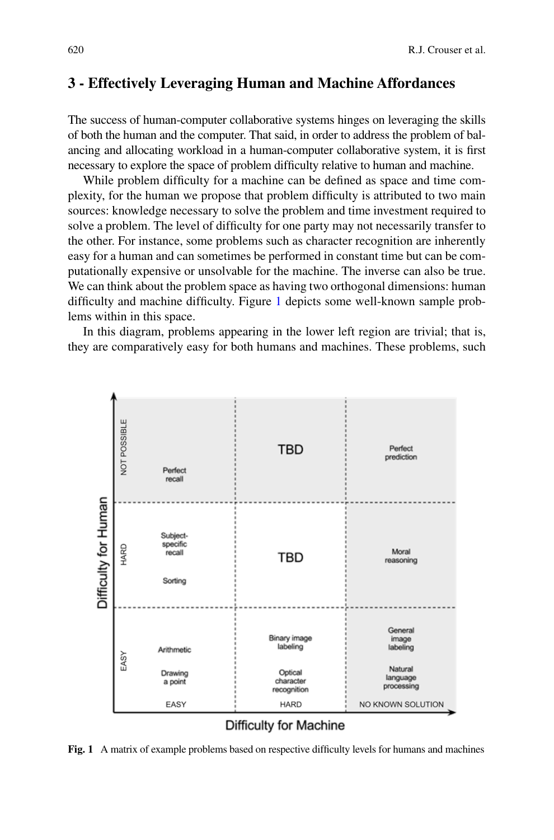### **3 - Effectively Leveraging Human and Machine Affordances**

The success of human-computer collaborative systems hinges on leveraging the skills of both the human and the computer. That said, in order to address the problem of balancing and allocating workload in a human-computer collaborative system, it is first necessary to explore the space of problem difficulty relative to human and machine.

While problem difficulty for a machine can be defined as space and time complexity, for the human we propose that problem difficulty is attributed to two main sources: knowledge necessary to solve the problem and time investment required to solve a problem. The level of difficulty for one party may not necessarily transfer to the other. For instance, some problems such as character recognition are inherently easy for a human and can sometimes be performed in constant time but can be computationally expensive or unsolvable for the machine. The inverse can also be true. We can think about the problem space as having two orthogonal dimensions: human difficulty and machine difficulty. Figure [1](#page-6-0) depicts some well-known sample problems within in this space.

In this diagram, problems appearing in the lower left region are trivial; that is, they are comparatively easy for both humans and machines. These problems, such

<span id="page-6-0"></span>

#### Difficulty for Machine

**Fig. 1** A matrix of example problems based on respective difficulty levels for humans and machines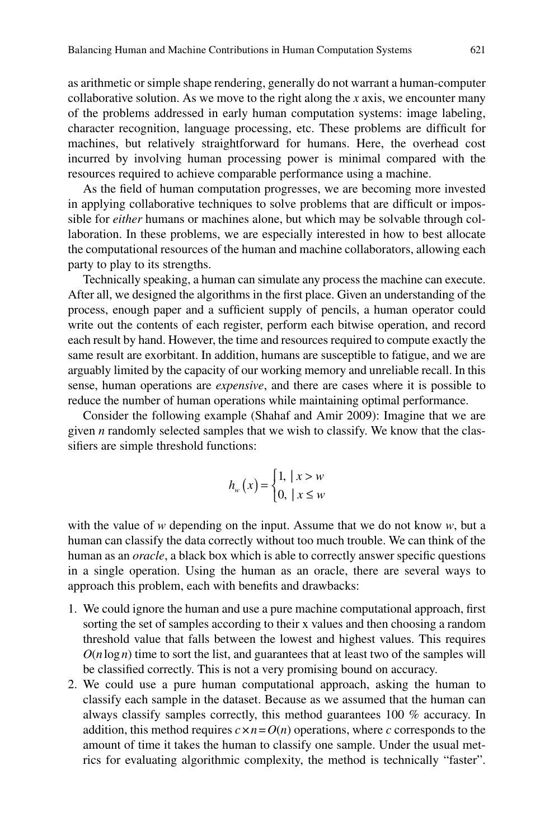as arithmetic or simple shape rendering, generally do not warrant a human-computer collaborative solution. As we move to the right along the *x* axis, we encounter many of the problems addressed in early human computation systems: image labeling, character recognition, language processing, etc. These problems are difficult for machines, but relatively straightforward for humans. Here, the overhead cost incurred by involving human processing power is minimal compared with the resources required to achieve comparable performance using a machine.

As the field of human computation progresses, we are becoming more invested in applying collaborative techniques to solve problems that are difficult or impossible for *either* humans or machines alone, but which may be solvable through collaboration. In these problems, we are especially interested in how to best allocate the computational resources of the human and machine collaborators, allowing each party to play to its strengths.

Technically speaking, a human can simulate any process the machine can execute. After all, we designed the algorithms in the first place. Given an understanding of the process, enough paper and a sufficient supply of pencils, a human operator could write out the contents of each register, perform each bitwise operation, and record each result by hand. However, the time and resources required to compute exactly the same result are exorbitant. In addition, humans are susceptible to fatigue, and we are arguably limited by the capacity of our working memory and unreliable recall. In this sense, human operations are *expensive*, and there are cases where it is possible to reduce the number of human operations while maintaining optimal performance.

Consider the following example (Shahaf and Amir 2009): Imagine that we are given *n* randomly selected samples that we wish to classify. We know that the classifiers are simple threshold functions:

$$
h_w(x) = \begin{cases} 1, & x > w \\ 0, & x \le w \end{cases}
$$

with the value of *w* depending on the input. Assume that we do not know *w*, but a human can classify the data correctly without too much trouble. We can think of the human as an *oracle*, a black box which is able to correctly answer specific questions in a single operation. Using the human as an oracle, there are several ways to approach this problem, each with benefits and drawbacks:

- 1. We could ignore the human and use a pure machine computational approach, first sorting the set of samples according to their x values and then choosing a random threshold value that falls between the lowest and highest values. This requires  $O(n \log n)$  time to sort the list, and guarantees that at least two of the samples will be classified correctly. This is not a very promising bound on accuracy.
- 2. We could use a pure human computational approach, asking the human to classify each sample in the dataset. Because as we assumed that the human can always classify samples correctly, this method guarantees 100 % accuracy. In addition, this method requires  $c \times n = O(n)$  operations, where c corresponds to the amount of time it takes the human to classify one sample. Under the usual metrics for evaluating algorithmic complexity, the method is technically "faster".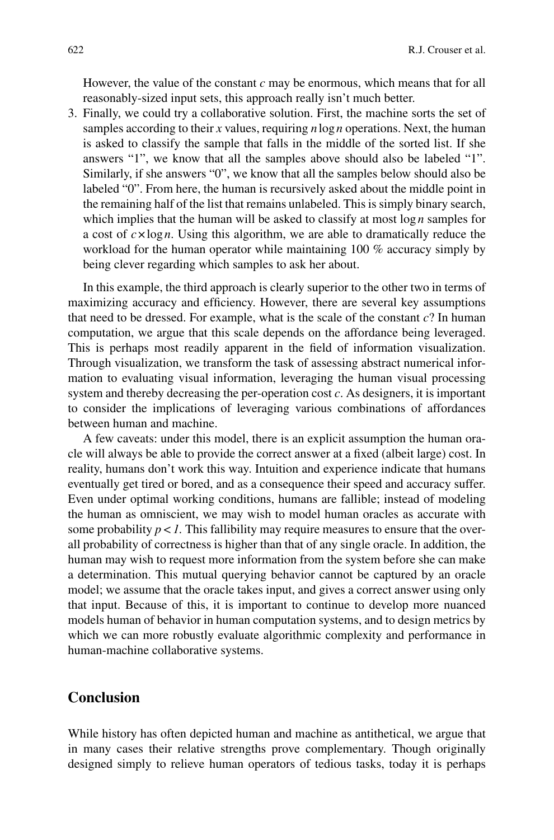However, the value of the constant *c* may be enormous, which means that for all reasonably-sized input sets, this approach really isn't much better.

3. Finally, we could try a collaborative solution. First, the machine sorts the set of samples according to their  $x$  values, requiring  $n \log n$  operations. Next, the human is asked to classify the sample that falls in the middle of the sorted list. If she answers "1", we know that all the samples above should also be labeled "1". Similarly, if she answers "0", we know that all the samples below should also be labeled "0". From here, the human is recursively asked about the middle point in the remaining half of the list that remains unlabeled. This is simply binary search, which implies that the human will be asked to classify at most log *n* samples for a cost of  $c \times \log n$ . Using this algorithm, we are able to dramatically reduce the workload for the human operator while maintaining 100 % accuracy simply by being clever regarding which samples to ask her about.

In this example, the third approach is clearly superior to the other two in terms of maximizing accuracy and efficiency. However, there are several key assumptions that need to be dressed. For example, what is the scale of the constant  $c$ ? In human computation, we argue that this scale depends on the affordance being leveraged. This is perhaps most readily apparent in the field of information visualization. Through visualization, we transform the task of assessing abstract numerical information to evaluating visual information, leveraging the human visual processing system and thereby decreasing the per-operation cost *c*. As designers, it is important to consider the implications of leveraging various combinations of affordances between human and machine.

A few caveats: under this model, there is an explicit assumption the human oracle will always be able to provide the correct answer at a fixed (albeit large) cost. In reality, humans don't work this way. Intuition and experience indicate that humans eventually get tired or bored, and as a consequence their speed and accuracy suffer. Even under optimal working conditions, humans are fallible; instead of modeling the human as omniscient, we may wish to model human oracles as accurate with some probability  $p < 1$ . This fallibility may require measures to ensure that the overall probability of correctness is higher than that of any single oracle. In addition, the human may wish to request more information from the system before she can make a determination. This mutual querying behavior cannot be captured by an oracle model; we assume that the oracle takes input, and gives a correct answer using only that input. Because of this, it is important to continue to develop more nuanced models human of behavior in human computation systems, and to design metrics by which we can more robustly evaluate algorithmic complexity and performance in human-machine collaborative systems.

# **Conclusion**

While history has often depicted human and machine as antithetical, we argue that in many cases their relative strengths prove complementary. Though originally designed simply to relieve human operators of tedious tasks, today it is perhaps